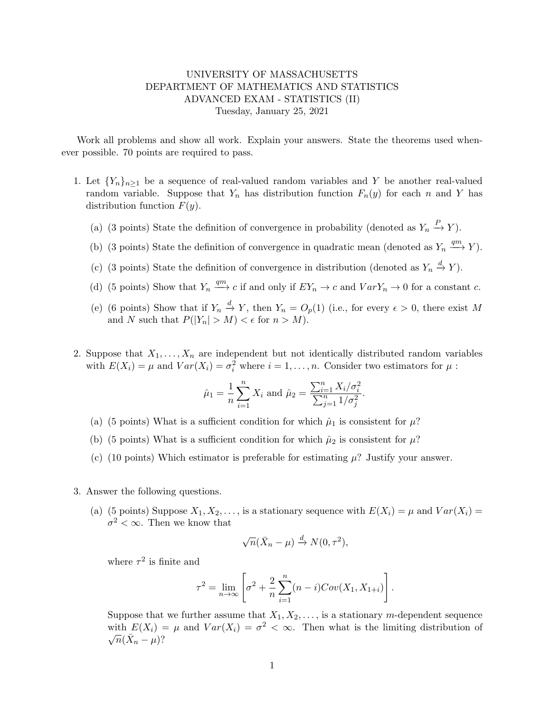## UNIVERSITY OF MASSACHUSETTS DEPARTMENT OF MATHEMATICS AND STATISTICS ADVANCED EXAM - STATISTICS (II) Tuesday, January 25, 2021

Work all problems and show all work. Explain your answers. State the theorems used whenever possible. 70 points are required to pass.

- 1. Let  ${Y_n}_{n>1}$  be a sequence of real-valued random variables and Y be another real-valued random variable. Suppose that  $Y_n$  has distribution function  $F_n(y)$  for each n and Y has distribution function  $F(y)$ .
	- (a) (3 points) State the definition of convergence in probability (denoted as  $Y_n \stackrel{P}{\to} Y$ ).
	- (b) (3 points) State the definition of convergence in quadratic mean (denoted as  $Y_n \xrightarrow{qm} Y$ ).
	- (c) (3 points) State the definition of convergence in distribution (denoted as  $Y_n \stackrel{d}{\rightarrow} Y$ ).
	- (d) (5 points) Show that  $Y_n \stackrel{qm}{\longrightarrow} c$  if and only if  $EY_n \to c$  and  $VarY_n \to 0$  for a constant c.
	- (e) (6 points) Show that if  $Y_n \stackrel{d}{\to} Y$ , then  $Y_n = O_p(1)$  (i.e., for every  $\epsilon > 0$ , there exist M and N such that  $P(|Y_n| > M) < \epsilon$  for  $n > M$ ).
- 2. Suppose that  $X_1, \ldots, X_n$  are independent but not identically distributed random variables with  $E(X_i) = \mu$  and  $Var(X_i) = \sigma_i^2$  where  $i = 1, ..., n$ . Consider two estimators for  $\mu$ :

$$
\hat{\mu}_1 = \frac{1}{n} \sum_{i=1}^n X_i
$$
 and  $\hat{\mu}_2 = \frac{\sum_{i=1}^n X_i / \sigma_i^2}{\sum_{j=1}^n 1 / \sigma_j^2}$ .

- (a) (5 points) What is a sufficient condition for which  $\hat{\mu}_1$  is consistent for  $\mu$ ?
- (b) (5 points) What is a sufficient condition for which  $\hat{\mu}_2$  is consistent for  $\mu$ ?
- (c) (10 points) Which estimator is preferable for estimating  $\mu$ ? Justify your answer.
- 3. Answer the following questions.
	- (a) (5 points) Suppose  $X_1, X_2, \ldots$ , is a stationary sequence with  $E(X_i) = \mu$  and  $Var(X_i) =$  $\sigma^2 < \infty$ . Then we know that

$$
\sqrt{n}(\bar{X}_n - \mu) \stackrel{d}{\to} N(0, \tau^2),
$$

where  $\tau^2$  is finite and

$$
\tau^{2} = \lim_{n \to \infty} \left[ \sigma^{2} + \frac{2}{n} \sum_{i=1}^{n} (n-i) Cov(X_{1}, X_{1+i}) \right].
$$

Suppose that we further assume that  $X_1, X_2, \ldots$ , is a stationary m-dependent sequence with  $E(X_i) = \mu$  and  $Var(X_i) = \sigma^2 < \infty$ . Then what is the limiting distribution of  $\overline{n}(\bar{X}_n - \mu)$ ?